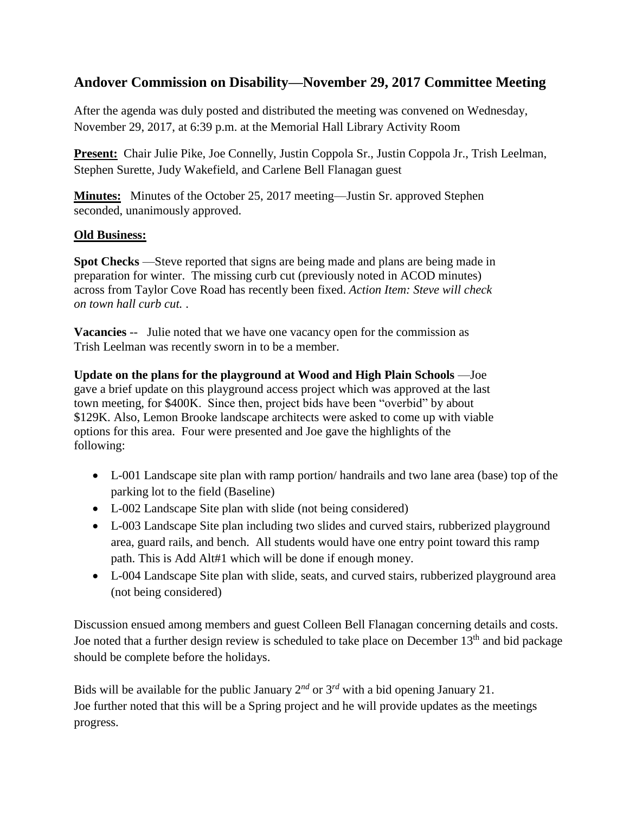# **Andover Commission on Disability—November 29, 2017 Committee Meeting**

After the agenda was duly posted and distributed the meeting was convened on Wednesday, November 29, 2017, at 6:39 p.m. at the Memorial Hall Library Activity Room

**Present:** Chair Julie Pike, Joe Connelly, Justin Coppola Sr., Justin Coppola Jr., Trish Leelman, Stephen Surette, Judy Wakefield, and Carlene Bell Flanagan guest

**Minutes:** Minutes of the October 25, 2017 meeting—Justin Sr. approved Stephen seconded, unanimously approved.

#### **Old Business:**

**Spot Checks** —Steve reported that signs are being made and plans are being made in preparation for winter. The missing curb cut (previously noted in ACOD minutes) across from Taylor Cove Road has recently been fixed. *Action Item: Steve will check on town hall curb cut.* .

**Vacancies** -- Julie noted that we have one vacancy open for the commission as Trish Leelman was recently sworn in to be a member.

**Update on the plans for the playground at Wood and High Plain Schools** —Joe gave a brief update on this playground access project which was approved at the last town meeting, for \$400K. Since then, project bids have been "overbid" by about \$129K. Also, Lemon Brooke landscape architects were asked to come up with viable options for this area. Four were presented and Joe gave the highlights of the following:

- L-001 Landscape site plan with ramp portion/ handrails and two lane area (base) top of the parking lot to the field (Baseline)
- L-002 Landscape Site plan with slide (not being considered)
- L-003 Landscape Site plan including two slides and curved stairs, rubberized playground area, guard rails, and bench. All students would have one entry point toward this ramp path. This is Add Alt#1 which will be done if enough money.
- L-004 Landscape Site plan with slide, seats, and curved stairs, rubberized playground area (not being considered)

Discussion ensued among members and guest Colleen Bell Flanagan concerning details and costs. Joe noted that a further design review is scheduled to take place on December  $13<sup>th</sup>$  and bid package should be complete before the holidays.

Bids will be available for the public January  $2^{nd}$  or  $3^{rd}$  with a bid opening January 21. Joe further noted that this will be a Spring project and he will provide updates as the meetings progress.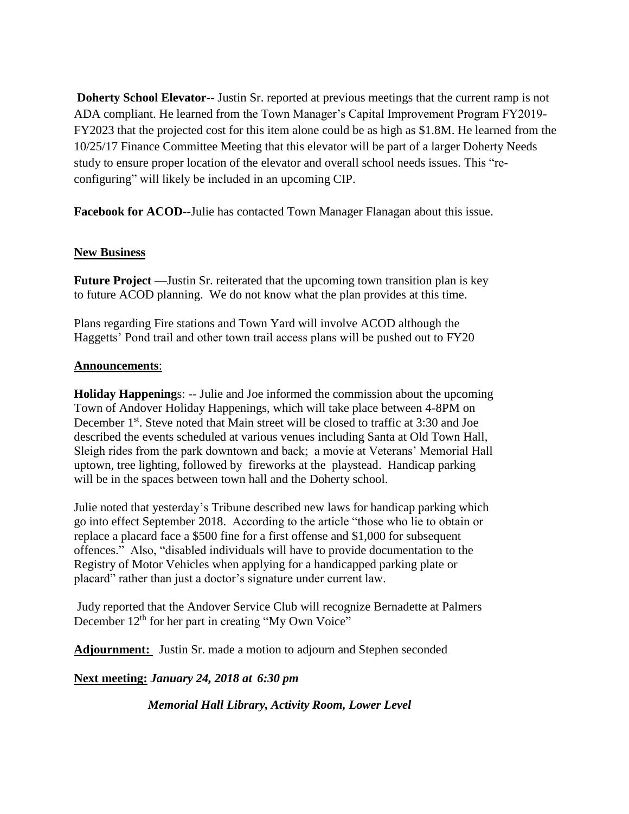**Doherty School Elevator--** Justin Sr. reported at previous meetings that the current ramp is not ADA compliant. He learned from the Town Manager's Capital Improvement Program FY2019- FY2023 that the projected cost for this item alone could be as high as \$1.8M. He learned from the 10/25/17 Finance Committee Meeting that this elevator will be part of a larger Doherty Needs study to ensure proper location of the elevator and overall school needs issues. This "reconfiguring" will likely be included in an upcoming CIP.

**Facebook for ACOD--**Julie has contacted Town Manager Flanagan about this issue.

## **New Business**

**Future Project** —Justin Sr. reiterated that the upcoming town transition plan is key to future ACOD planning. We do not know what the plan provides at this time.

Plans regarding Fire stations and Town Yard will involve ACOD although the Haggetts' Pond trail and other town trail access plans will be pushed out to FY20

#### **Announcements**:

**Holiday Happening**s: -- Julie and Joe informed the commission about the upcoming Town of Andover Holiday Happenings, which will take place between 4-8PM on December 1<sup>st</sup>. Steve noted that Main street will be closed to traffic at 3:30 and Joe described the events scheduled at various venues including Santa at Old Town Hall, Sleigh rides from the park downtown and back; a movie at Veterans' Memorial Hall uptown, tree lighting, followed by fireworks at the playstead. Handicap parking will be in the spaces between town hall and the Doherty school.

Julie noted that yesterday's Tribune described new laws for handicap parking which go into effect September 2018. According to the article "those who lie to obtain or replace a placard face a \$500 fine for a first offense and \$1,000 for subsequent offences." Also, "disabled individuals will have to provide documentation to the Registry of Motor Vehicles when applying for a handicapped parking plate or placard" rather than just a doctor's signature under current law.

Judy reported that the Andover Service Club will recognize Bernadette at Palmers December 12<sup>th</sup> for her part in creating "My Own Voice"

Adjournment: Justin Sr. made a motion to adjourn and Stephen seconded

## **Next meeting:** *January 24, 2018 at 6:30 pm*

*Memorial Hall Library, Activity Room, Lower Level*